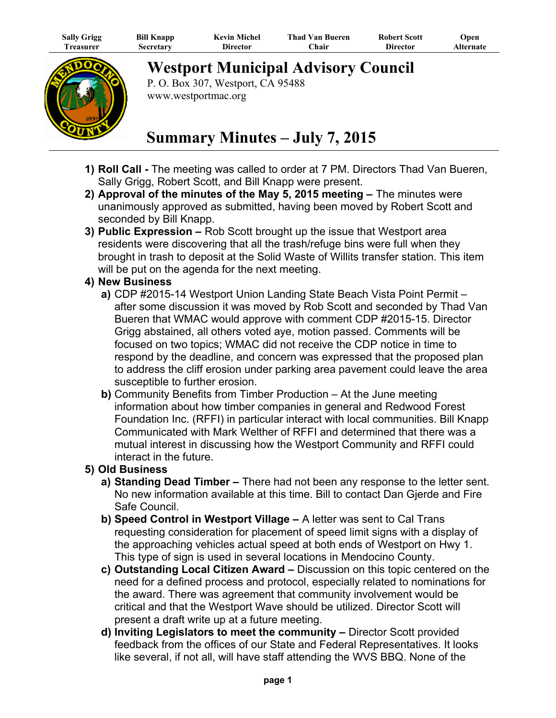| <b>Sally Grigg</b> | <b>Bill Knapp</b> | <b>Kevin Michel</b> | <b>Thad Van Bueren</b> | <b>Robert Scott</b> | Open      |
|--------------------|-------------------|---------------------|------------------------|---------------------|-----------|
| l`reasurer         | Secretary         | Director            | <b>hair</b>            | Director            | Alternate |



**Westport Municipal Advisory Council**

P. O. Box 307, Westport, CA 95488 www.westportmac.org

## **Summary Minutes – July 7, 2015**

- **1) Roll Call -** The meeting was called to order at 7 PM. Directors Thad Van Bueren, Sally Grigg, Robert Scott, and Bill Knapp were present.
- **2) Approval of the minutes of the May 5, 2015 meeting** The minutes were unanimously approved as submitted, having been moved by Robert Scott and seconded by Bill Knapp.
- **3) Public Expression –** Rob Scott brought up the issue that Westport area residents were discovering that all the trash/refuge bins were full when they brought in trash to deposit at the Solid Waste of Willits transfer station. This item will be put on the agenda for the next meeting.

## **4) New Business**

- **a)** CDP #2015-14 Westport Union Landing State Beach Vista Point Permit after some discussion it was moved by Rob Scott and seconded by Thad Van Bueren that WMAC would approve with comment CDP #2015-15. Director Grigg abstained, all others voted aye, motion passed. Comments will be focused on two topics; WMAC did not receive the CDP notice in time to respond by the deadline, and concern was expressed that the proposed plan to address the cliff erosion under parking area pavement could leave the area susceptible to further erosion.
- **b)** Community Benefits from Timber Production At the June meeting information about how timber companies in general and Redwood Forest Foundation Inc. (RFFI) in particular interact with local communities. Bill Knapp Communicated with Mark Welther of RFFI and determined that there was a mutual interest in discussing how the Westport Community and RFFI could interact in the future.

## **5) Old Business**

- **a) Standing Dead Timber –** There had not been any response to the letter sent. No new information available at this time. Bill to contact Dan Gjerde and Fire Safe Council.
- **b) Speed Control in Westport Village –** A letter was sent to Cal Trans requesting consideration for placement of speed limit signs with a display of the approaching vehicles actual speed at both ends of Westport on Hwy 1. This type of sign is used in several locations in Mendocino County.
- **c) Outstanding Local Citizen Award –** Discussion on this topic centered on the need for a defined process and protocol, especially related to nominations for the award. There was agreement that community involvement would be critical and that the Westport Wave should be utilized. Director Scott will present a draft write up at a future meeting.
- **d) Inviting Legislators to meet the community –** Director Scott provided feedback from the offices of our State and Federal Representatives. It looks like several, if not all, will have staff attending the WVS BBQ. None of the